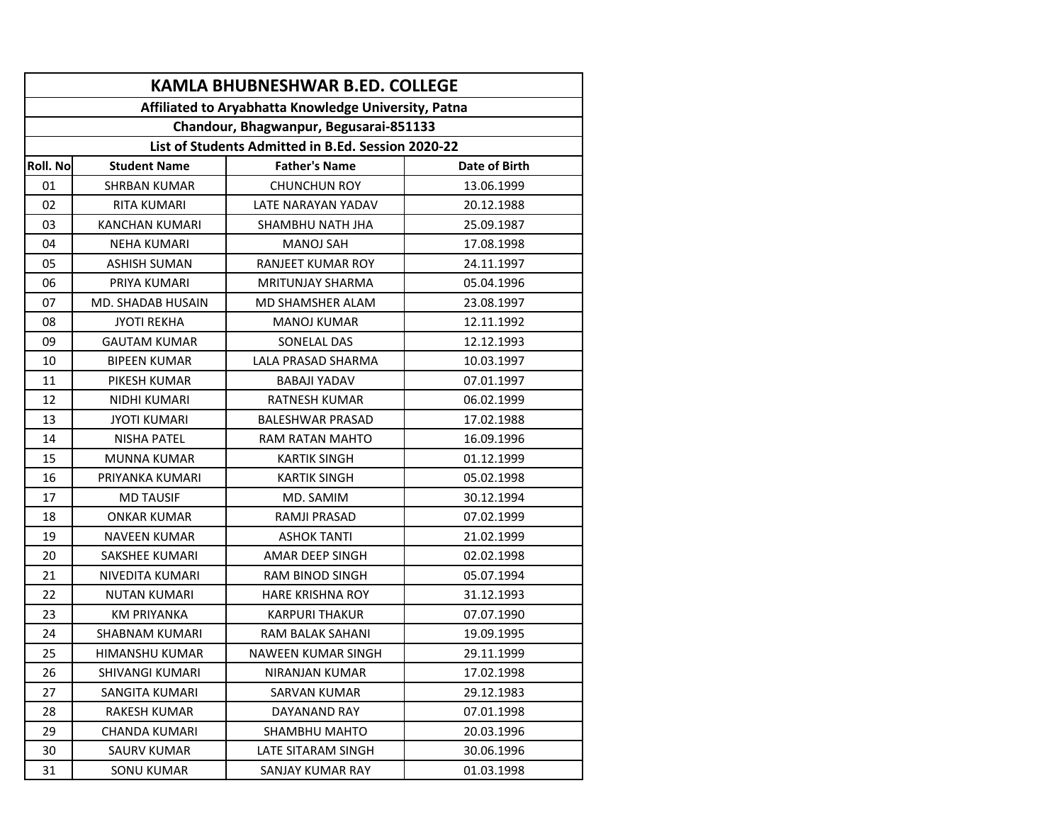| <b>KAMLA BHUBNESHWAR B.ED. COLLEGE</b>                                                                                                               |                       |                         |            |  |  |  |  |          |                     |                      |               |
|------------------------------------------------------------------------------------------------------------------------------------------------------|-----------------------|-------------------------|------------|--|--|--|--|----------|---------------------|----------------------|---------------|
| Affiliated to Aryabhatta Knowledge University, Patna<br>Chandour, Bhagwanpur, Begusarai-851133<br>List of Students Admitted in B.Ed. Session 2020-22 |                       |                         |            |  |  |  |  |          |                     |                      |               |
|                                                                                                                                                      |                       |                         |            |  |  |  |  | Roll. No | <b>Student Name</b> | <b>Father's Name</b> | Date of Birth |
|                                                                                                                                                      |                       |                         |            |  |  |  |  | 01       | SHRBAN KUMAR        | <b>CHUNCHUN ROY</b>  | 13.06.1999    |
| 02                                                                                                                                                   | <b>RITA KUMARI</b>    | LATE NARAYAN YADAV      | 20.12.1988 |  |  |  |  |          |                     |                      |               |
| 03                                                                                                                                                   | <b>KANCHAN KUMARI</b> | SHAMBHU NATH JHA        | 25.09.1987 |  |  |  |  |          |                     |                      |               |
| 04                                                                                                                                                   | <b>NEHA KUMARI</b>    | <b>MANOJ SAH</b>        | 17.08.1998 |  |  |  |  |          |                     |                      |               |
| 05                                                                                                                                                   | <b>ASHISH SUMAN</b>   | RANJEET KUMAR ROY       | 24.11.1997 |  |  |  |  |          |                     |                      |               |
| 06                                                                                                                                                   | PRIYA KUMARI          | <b>MRITUNJAY SHARMA</b> | 05.04.1996 |  |  |  |  |          |                     |                      |               |
| 07                                                                                                                                                   | MD. SHADAB HUSAIN     | MD SHAMSHER ALAM        | 23.08.1997 |  |  |  |  |          |                     |                      |               |
| 08                                                                                                                                                   | <b>JYOTI REKHA</b>    | <b>MANOJ KUMAR</b>      | 12.11.1992 |  |  |  |  |          |                     |                      |               |
| 09                                                                                                                                                   | <b>GAUTAM KUMAR</b>   | SONELAL DAS             | 12.12.1993 |  |  |  |  |          |                     |                      |               |
| 10                                                                                                                                                   | <b>BIPEEN KUMAR</b>   | LALA PRASAD SHARMA      | 10.03.1997 |  |  |  |  |          |                     |                      |               |
| 11                                                                                                                                                   | PIKESH KUMAR          | <b>BABAJI YADAV</b>     | 07.01.1997 |  |  |  |  |          |                     |                      |               |
| 12                                                                                                                                                   | NIDHI KUMARI          | <b>RATNESH KUMAR</b>    | 06.02.1999 |  |  |  |  |          |                     |                      |               |
| 13                                                                                                                                                   | <b>JYOTI KUMARI</b>   | <b>BALESHWAR PRASAD</b> | 17.02.1988 |  |  |  |  |          |                     |                      |               |
| 14                                                                                                                                                   | <b>NISHA PATEL</b>    | <b>RAM RATAN MAHTO</b>  | 16.09.1996 |  |  |  |  |          |                     |                      |               |
| 15                                                                                                                                                   | <b>MUNNA KUMAR</b>    | <b>KARTIK SINGH</b>     | 01.12.1999 |  |  |  |  |          |                     |                      |               |
| 16                                                                                                                                                   | PRIYANKA KUMARI       | <b>KARTIK SINGH</b>     | 05.02.1998 |  |  |  |  |          |                     |                      |               |
| 17                                                                                                                                                   | <b>MD TAUSIF</b>      | MD. SAMIM               | 30.12.1994 |  |  |  |  |          |                     |                      |               |
| 18                                                                                                                                                   | ONKAR KUMAR           | RAMJI PRASAD            | 07.02.1999 |  |  |  |  |          |                     |                      |               |
| 19                                                                                                                                                   | <b>NAVEEN KUMAR</b>   | <b>ASHOK TANTI</b>      | 21.02.1999 |  |  |  |  |          |                     |                      |               |
| 20                                                                                                                                                   | SAKSHEE KUMARI        | AMAR DEEP SINGH         | 02.02.1998 |  |  |  |  |          |                     |                      |               |
| 21                                                                                                                                                   | NIVEDITA KUMARI       | <b>RAM BINOD SINGH</b>  | 05.07.1994 |  |  |  |  |          |                     |                      |               |
| 22                                                                                                                                                   | <b>NUTAN KUMARI</b>   | <b>HARE KRISHNA ROY</b> | 31.12.1993 |  |  |  |  |          |                     |                      |               |
| 23                                                                                                                                                   | <b>KM PRIYANKA</b>    | <b>KARPURI THAKUR</b>   | 07.07.1990 |  |  |  |  |          |                     |                      |               |
| 24                                                                                                                                                   | <b>SHABNAM KUMARI</b> | RAM BALAK SAHANI        | 19.09.1995 |  |  |  |  |          |                     |                      |               |
| 25                                                                                                                                                   | <b>HIMANSHU KUMAR</b> | NAWEEN KUMAR SINGH      | 29.11.1999 |  |  |  |  |          |                     |                      |               |
| 26                                                                                                                                                   | SHIVANGI KUMARI       | NIRANJAN KUMAR          | 17.02.1998 |  |  |  |  |          |                     |                      |               |
| 27                                                                                                                                                   | SANGITA KUMARI        | SARVAN KUMAR            | 29.12.1983 |  |  |  |  |          |                     |                      |               |
| 28                                                                                                                                                   | <b>RAKESH KUMAR</b>   | DAYANAND RAY            | 07.01.1998 |  |  |  |  |          |                     |                      |               |
| 29                                                                                                                                                   | CHANDA KUMARI         | SHAMBHU MAHTO           | 20.03.1996 |  |  |  |  |          |                     |                      |               |
| 30                                                                                                                                                   | SAURV KUMAR           | LATE SITARAM SINGH      | 30.06.1996 |  |  |  |  |          |                     |                      |               |
| 31                                                                                                                                                   | <b>SONU KUMAR</b>     | SANJAY KUMAR RAY        | 01.03.1998 |  |  |  |  |          |                     |                      |               |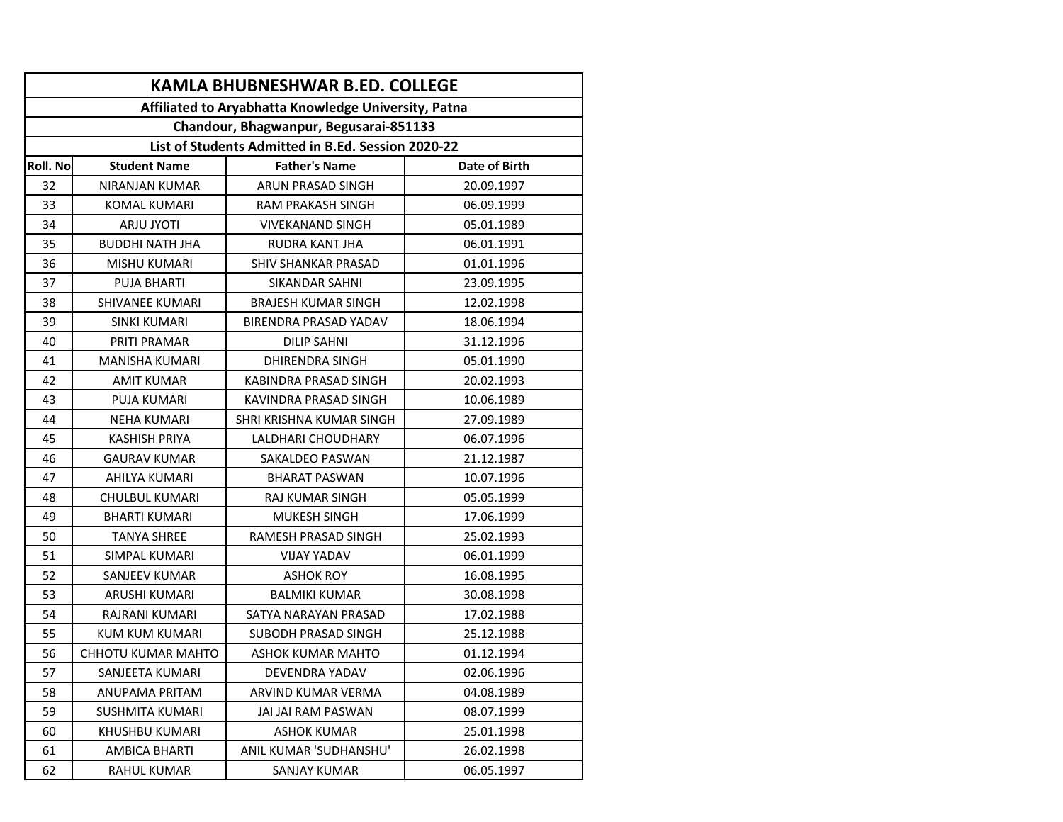| <b>KAMLA BHUBNESHWAR B.ED. COLLEGE</b>                                                         |                           |                            |               |  |  |  |  |
|------------------------------------------------------------------------------------------------|---------------------------|----------------------------|---------------|--|--|--|--|
| Affiliated to Aryabhatta Knowledge University, Patna<br>Chandour, Bhagwanpur, Begusarai-851133 |                           |                            |               |  |  |  |  |
|                                                                                                |                           |                            |               |  |  |  |  |
| <b>Roll. No</b>                                                                                | <b>Student Name</b>       | <b>Father's Name</b>       | Date of Birth |  |  |  |  |
| 32                                                                                             | NIRANJAN KUMAR            | ARUN PRASAD SINGH          | 20.09.1997    |  |  |  |  |
| 33                                                                                             | <b>KOMAL KUMARI</b>       | RAM PRAKASH SINGH          | 06.09.1999    |  |  |  |  |
| 34                                                                                             | <b>ARJU JYOTI</b>         | <b>VIVEKANAND SINGH</b>    | 05.01.1989    |  |  |  |  |
| 35                                                                                             | <b>BUDDHI NATH JHA</b>    | RUDRA KANT JHA             | 06.01.1991    |  |  |  |  |
| 36                                                                                             | <b>MISHU KUMARI</b>       | <b>SHIV SHANKAR PRASAD</b> | 01.01.1996    |  |  |  |  |
| 37                                                                                             | <b>PUJA BHARTI</b>        | <b>SIKANDAR SAHNI</b>      | 23.09.1995    |  |  |  |  |
| 38                                                                                             | SHIVANEE KUMARI           | <b>BRAJESH KUMAR SINGH</b> | 12.02.1998    |  |  |  |  |
| 39                                                                                             | <b>SINKI KUMARI</b>       | BIRENDRA PRASAD YADAV      | 18.06.1994    |  |  |  |  |
| 40                                                                                             | PRITI PRAMAR              | <b>DILIP SAHNI</b>         | 31.12.1996    |  |  |  |  |
| 41                                                                                             | <b>MANISHA KUMARI</b>     | <b>DHIRENDRA SINGH</b>     | 05.01.1990    |  |  |  |  |
| 42                                                                                             | <b>AMIT KUMAR</b>         | KABINDRA PRASAD SINGH      | 20.02.1993    |  |  |  |  |
| 43                                                                                             | <b>PUJA KUMARI</b>        | KAVINDRA PRASAD SINGH      | 10.06.1989    |  |  |  |  |
| 44                                                                                             | <b>NEHA KUMARI</b>        | SHRI KRISHNA KUMAR SINGH   | 27.09.1989    |  |  |  |  |
| 45                                                                                             | <b>KASHISH PRIYA</b>      | LALDHARI CHOUDHARY         | 06.07.1996    |  |  |  |  |
| 46                                                                                             | <b>GAURAV KUMAR</b>       | SAKALDEO PASWAN            | 21.12.1987    |  |  |  |  |
| 47                                                                                             | AHILYA KUMARI             | <b>BHARAT PASWAN</b>       | 10.07.1996    |  |  |  |  |
| 48                                                                                             | <b>CHULBUL KUMARI</b>     | RAJ KUMAR SINGH            | 05.05.1999    |  |  |  |  |
| 49                                                                                             | <b>BHARTI KUMARI</b>      | <b>MUKESH SINGH</b>        | 17.06.1999    |  |  |  |  |
| 50                                                                                             | <b>TANYA SHREE</b>        | RAMESH PRASAD SINGH        | 25.02.1993    |  |  |  |  |
| 51                                                                                             | SIMPAL KUMARI             | <b>VIJAY YADAV</b>         | 06.01.1999    |  |  |  |  |
| 52                                                                                             | SANJEEV KUMAR             | <b>ASHOK ROY</b>           | 16.08.1995    |  |  |  |  |
| 53                                                                                             | <b>ARUSHI KUMARI</b>      | <b>BALMIKI KUMAR</b>       | 30.08.1998    |  |  |  |  |
| 54                                                                                             | RAJRANI KUMARI            | SATYA NARAYAN PRASAD       | 17.02.1988    |  |  |  |  |
| 55                                                                                             | <b>KUM KUM KUMARI</b>     | SUBODH PRASAD SINGH        | 25.12.1988    |  |  |  |  |
| 56                                                                                             | <b>CHHOTU KUMAR MAHTO</b> | <b>ASHOK KUMAR MAHTO</b>   | 01.12.1994    |  |  |  |  |
| 57                                                                                             | SANJEETA KUMARI           | DEVENDRA YADAV             | 02.06.1996    |  |  |  |  |
| 58                                                                                             | ANUPAMA PRITAM            | ARVIND KUMAR VERMA         | 04.08.1989    |  |  |  |  |
| 59                                                                                             | <b>SUSHMITA KUMARI</b>    | JAI JAI RAM PASWAN         | 08.07.1999    |  |  |  |  |
| 60                                                                                             | KHUSHBU KUMARI            | ASHOK KUMAR                | 25.01.1998    |  |  |  |  |
| 61                                                                                             | AMBICA BHARTI             | ANIL KUMAR 'SUDHANSHU'     | 26.02.1998    |  |  |  |  |
| 62                                                                                             | <b>RAHUL KUMAR</b>        | <b>SANJAY KUMAR</b>        | 06.05.1997    |  |  |  |  |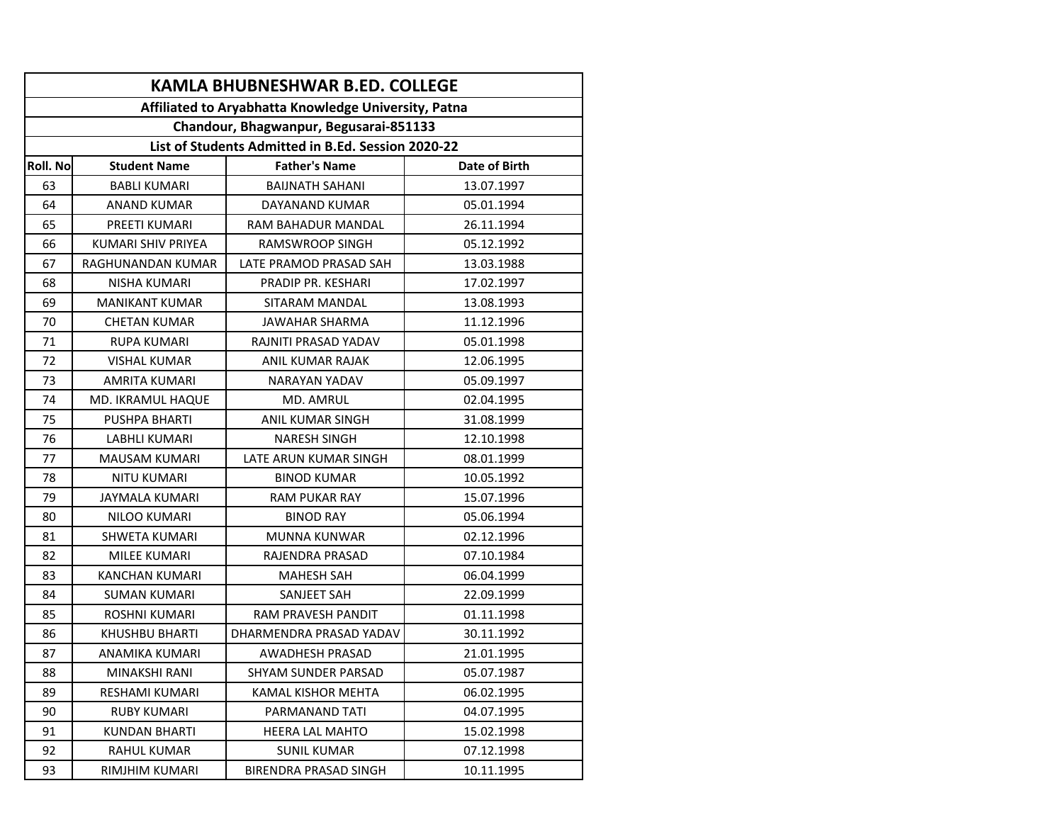| <b>KAMLA BHUBNESHWAR B.ED. COLLEGE</b>               |                       |                           |               |  |  |  |  |
|------------------------------------------------------|-----------------------|---------------------------|---------------|--|--|--|--|
| Affiliated to Aryabhatta Knowledge University, Patna |                       |                           |               |  |  |  |  |
| Chandour, Bhagwanpur, Begusarai-851133               |                       |                           |               |  |  |  |  |
| List of Students Admitted in B.Ed. Session 2020-22   |                       |                           |               |  |  |  |  |
| <b>Roll. No</b>                                      | <b>Student Name</b>   | <b>Father's Name</b>      | Date of Birth |  |  |  |  |
| 63                                                   | <b>BABLI KUMARI</b>   | <b>BAIJNATH SAHANI</b>    | 13.07.1997    |  |  |  |  |
| 64                                                   | <b>ANAND KUMAR</b>    | DAYANAND KUMAR            | 05.01.1994    |  |  |  |  |
| 65                                                   | PREETI KUMARI         | RAM BAHADUR MANDAL        | 26.11.1994    |  |  |  |  |
| 66                                                   | KUMARI SHIV PRIYEA    | <b>RAMSWROOP SINGH</b>    | 05.12.1992    |  |  |  |  |
| 67                                                   | RAGHUNANDAN KUMAR     | LATE PRAMOD PRASAD SAH    | 13.03.1988    |  |  |  |  |
| 68                                                   | NISHA KUMARI          | PRADIP PR. KESHARI        | 17.02.1997    |  |  |  |  |
| 69                                                   | <b>MANIKANT KUMAR</b> | SITARAM MANDAL            | 13.08.1993    |  |  |  |  |
| 70                                                   | <b>CHETAN KUMAR</b>   | JAWAHAR SHARMA            | 11.12.1996    |  |  |  |  |
| 71                                                   | <b>RUPA KUMARI</b>    | RAJNITI PRASAD YADAV      | 05.01.1998    |  |  |  |  |
| 72                                                   | <b>VISHAL KUMAR</b>   | ANIL KUMAR RAJAK          | 12.06.1995    |  |  |  |  |
| 73                                                   | AMRITA KUMARI         | NARAYAN YADAV             | 05.09.1997    |  |  |  |  |
| 74                                                   | MD. IKRAMUL HAQUE     | <b>MD. AMRUL</b>          | 02.04.1995    |  |  |  |  |
| 75                                                   | PUSHPA BHARTI         | ANIL KUMAR SINGH          | 31.08.1999    |  |  |  |  |
| 76                                                   | LABHLI KUMARI         | <b>NARESH SINGH</b>       | 12.10.1998    |  |  |  |  |
| 77                                                   | <b>MAUSAM KUMARI</b>  | LATE ARUN KUMAR SINGH     | 08.01.1999    |  |  |  |  |
| 78                                                   | <b>NITU KUMARI</b>    | <b>BINOD KUMAR</b>        | 10.05.1992    |  |  |  |  |
| 79                                                   | <b>JAYMALA KUMARI</b> | <b>RAM PUKAR RAY</b>      | 15.07.1996    |  |  |  |  |
| 80                                                   | NILOO KUMARI          | <b>BINOD RAY</b>          | 05.06.1994    |  |  |  |  |
| 81                                                   | SHWETA KUMARI         | <b>MUNNA KUNWAR</b>       | 02.12.1996    |  |  |  |  |
| 82                                                   | <b>MILEE KUMARI</b>   | RAJENDRA PRASAD           | 07.10.1984    |  |  |  |  |
| 83                                                   | KANCHAN KUMARI        | <b>MAHESH SAH</b>         | 06.04.1999    |  |  |  |  |
| 84                                                   | <b>SUMAN KUMARI</b>   | SANJEET SAH               | 22.09.1999    |  |  |  |  |
| 85                                                   | <b>ROSHNI KUMARI</b>  | <b>RAM PRAVESH PANDIT</b> | 01.11.1998    |  |  |  |  |
| 86                                                   | KHUSHBU BHARTI        | DHARMENDRA PRASAD YADAV   | 30.11.1992    |  |  |  |  |
| 87                                                   | ANAMIKA KUMARI        | <b>AWADHESH PRASAD</b>    | 21.01.1995    |  |  |  |  |
| 88                                                   | MINAKSHI RANI         | SHYAM SUNDER PARSAD       | 05.07.1987    |  |  |  |  |
| 89                                                   | RESHAMI KUMARI        | KAMAL KISHOR MEHTA        | 06.02.1995    |  |  |  |  |
| 90                                                   | <b>RUBY KUMARI</b>    | PARMANAND TATI            | 04.07.1995    |  |  |  |  |
| 91                                                   | KUNDAN BHARTI         | HEERA LAL MAHTO           | 15.02.1998    |  |  |  |  |
| 92                                                   | RAHUL KUMAR           | <b>SUNIL KUMAR</b>        | 07.12.1998    |  |  |  |  |
| 93                                                   | RIMJHIM KUMARI        | BIRENDRA PRASAD SINGH     | 10.11.1995    |  |  |  |  |